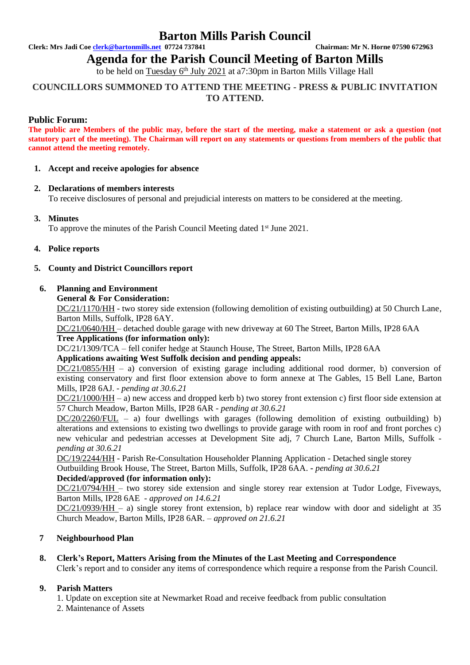## **Barton Mills Parish Council**

**Clerk: Mrs Jadi Coe [clerk@bartonmills.net](mailto:clerk@bartonmills.net) 07724 737841 Chairman: Mr N. Horne 07590 672963**

**Agenda for the Parish Council Meeting of Barton Mills** 

to be held on Tuesday 6<sup>th</sup> July 2021 at a7:30pm in Barton Mills Village Hall

## **COUNCILLORS SUMMONED TO ATTEND THE MEETING - PRESS & PUBLIC INVITATION TO ATTEND.**

## **Public Forum:**

**The public are Members of the public may, before the start of the meeting, make a statement or ask a question (not statutory part of the meeting). The Chairman will report on any statements or questions from members of the public that cannot attend the meeting remotely.**

#### **1. Accept and receive apologies for absence**

## **2. Declarations of members interests**

To receive disclosures of personal and prejudicial interests on matters to be considered at the meeting.

## **3. Minutes**

To approve the minutes of the Parish Council Meeting dated 1<sup>st</sup> June 2021.

#### **4. Police reports**

## **5. County and District Councillors report**

#### **6. Planning and Environment**

**General & For Consideration:**

DC/21/1170/HH - two storey side extension (following demolition of existing outbuilding) at 50 Church Lane, Barton Mills, Suffolk, IP28 6AY.

DC/21/0640/HH – detached double garage with new driveway at 60 The Street, Barton Mills, IP28 6AA **Tree Applications (for information only):**

DC/21/1309/TCA – fell conifer hedge at Staunch House, The Street, Barton Mills, IP28 6AA

## **Applications awaiting West Suffolk decision and pending appeals:**

DC/21/0855/HH – a) conversion of existing garage including additional rood dormer, b) conversion of existing conservatory and first floor extension above to form annexe at The Gables, 15 Bell Lane, Barton Mills, IP28 6AJ. *- pending at 30.6.21*

DC/21/1000/HH – a) new access and dropped kerb b) two storey front extension c) first floor side extension at 57 Church Meadow, Barton Mills, IP28 6AR *- pending at 30.6.21*

 $DC/20/2260/FUL - a)$  four dwellings with garages (following demolition of existing outbuilding) b) alterations and extensions to existing two dwellings to provide garage with room in roof and front porches c) new vehicular and pedestrian accesses at Development Site adj, 7 Church Lane, Barton Mills, Suffolk  *pending at 30.6.21*

DC/19/2244/HH - Parish Re-Consultation Householder Planning Application - Detached single storey Outbuilding Brook House, The Street, Barton Mills, Suffolk, IP28 6AA. **-** *pending at 30.6.21*

#### **Decided/approved (for information only):**

DC/21/0794/HH – two storey side extension and single storey rear extension at Tudor Lodge, Fiveways, Barton Mills, IP28 6AE *- approved on 14.6.21*

DC/21/0939/HH – a) single storey front extension, b) replace rear window with door and sidelight at 35 Church Meadow, Barton Mills, IP28 6AR. *– approved on 21.6.21*

## **7 Neighbourhood Plan**

## **8. Clerk's Report, Matters Arising from the Minutes of the Last Meeting and Correspondence**

Clerk's report and to consider any items of correspondence which require a response from the Parish Council.

## **9. Parish Matters**

1. Update on exception site at Newmarket Road and receive feedback from public consultation 2. Maintenance of Assets